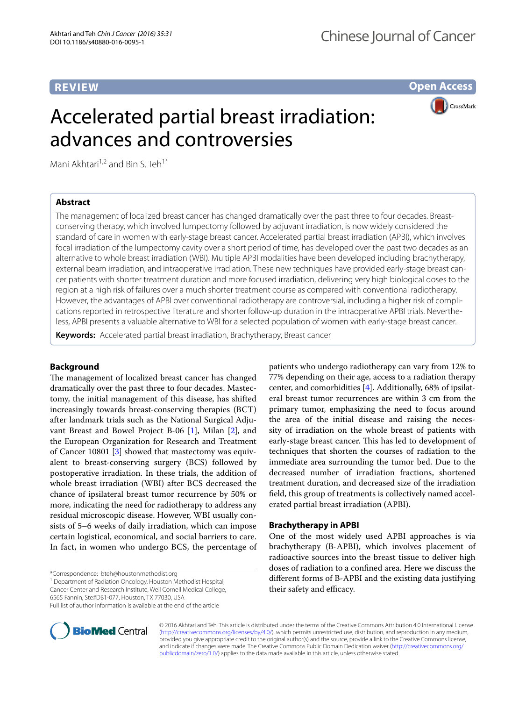# **REVIEW**

**Open Access**

# Accelerated partial breast irradiation: advances and controversies

CrossMark

Mani Akhtari<sup>1,2</sup> and Bin S. Teh<sup>1\*</sup>

## **Abstract**

The management of localized breast cancer has changed dramatically over the past three to four decades. Breastconserving therapy, which involved lumpectomy followed by adjuvant irradiation, is now widely considered the standard of care in women with early-stage breast cancer. Accelerated partial breast irradiation (APBI), which involves focal irradiation of the lumpectomy cavity over a short period of time, has developed over the past two decades as an alternative to whole breast irradiation (WBI). Multiple APBI modalities have been developed including brachytherapy, external beam irradiation, and intraoperative irradiation. These new techniques have provided early-stage breast cancer patients with shorter treatment duration and more focused irradiation, delivering very high biological doses to the region at a high risk of failures over a much shorter treatment course as compared with conventional radiotherapy. However, the advantages of APBI over conventional radiotherapy are controversial, including a higher risk of complications reported in retrospective literature and shorter follow-up duration in the intraoperative APBI trials. Nevertheless, APBI presents a valuable alternative to WBI for a selected population of women with early-stage breast cancer.

**Keywords:** Accelerated partial breast irradiation, Brachytherapy, Breast cancer

## **Background**

The management of localized breast cancer has changed dramatically over the past three to four decades. Mastectomy, the initial management of this disease, has shifted increasingly towards breast-conserving therapies (BCT) after landmark trials such as the National Surgical Adjuvant Breast and Bowel Project B-06 [[1](#page-6-0)], Milan [\[2](#page-6-1)], and the European Organization for Research and Treatment of Cancer 10801 [\[3](#page-6-2)] showed that mastectomy was equivalent to breast-conserving surgery (BCS) followed by postoperative irradiation. In these trials, the addition of whole breast irradiation (WBI) after BCS decreased the chance of ipsilateral breast tumor recurrence by 50% or more, indicating the need for radiotherapy to address any residual microscopic disease. However, WBI usually consists of 5–6 weeks of daily irradiation, which can impose certain logistical, economical, and social barriers to care. In fact, in women who undergo BCS, the percentage of

\*Correspondence: bteh@houstonmethodist.org

<sup>1</sup> Department of Radiation Oncology, Houston Methodist Hospital, Cancer Center and Research Institute, Weil Cornell Medical College, 6565 Fannin, Ste#DB1-077, Houston, TX 77030, USA



patients who undergo radiotherapy can vary from 12% to 77% depending on their age, access to a radiation therapy center, and comorbidities [[4\]](#page-6-3). Additionally, 68% of ipsilateral breast tumor recurrences are within 3 cm from the primary tumor, emphasizing the need to focus around the area of the initial disease and raising the necessity of irradiation on the whole breast of patients with early-stage breast cancer. This has led to development of techniques that shorten the courses of radiation to the immediate area surrounding the tumor bed. Due to the decreased number of irradiation fractions, shortened treatment duration, and decreased size of the irradiation field, this group of treatments is collectively named accelerated partial breast irradiation (APBI).

## **Brachytherapy in APBI**

One of the most widely used APBI approaches is via brachytherapy (B-APBI), which involves placement of radioactive sources into the breast tissue to deliver high doses of radiation to a confined area. Here we discuss the different forms of B-APBI and the existing data justifying their safety and efficacy.



© 2016 Akhtari and Teh. This article is distributed under the terms of the Creative Commons Attribution 4.0 International License [\(http://creativecommons.org/licenses/by/4.0/\)](http://creativecommons.org/licenses/by/4.0/), which permits unrestricted use, distribution, and reproduction in any medium, provided you give appropriate credit to the original author(s) and the source, provide a link to the Creative Commons license, and indicate if changes were made. The Creative Commons Public Domain Dedication waiver ([http://creativecommons.org/](http://creativecommons.org/publicdomain/zero/1.0/) [publicdomain/zero/1.0/](http://creativecommons.org/publicdomain/zero/1.0/)) applies to the data made available in this article, unless otherwise stated.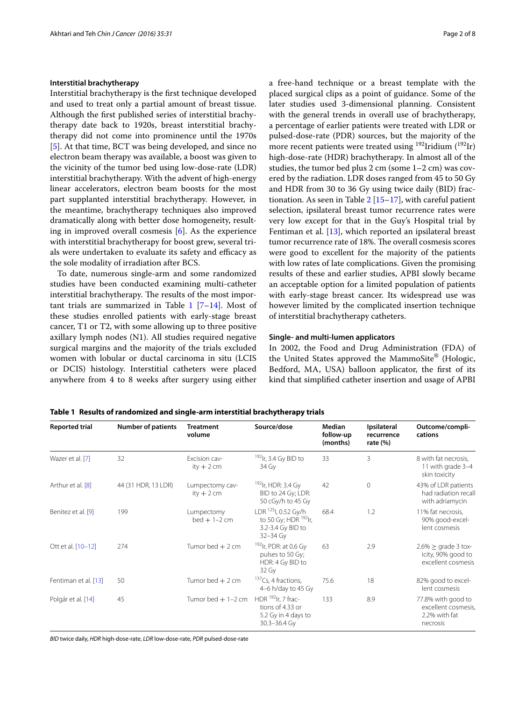#### **Interstitial brachytherapy**

Interstitial brachytherapy is the first technique developed and used to treat only a partial amount of breast tissue. Although the first published series of interstitial brachytherapy date back to 1920s, breast interstitial brachytherapy did not come into prominence until the 1970s [[5\]](#page-6-4). At that time, BCT was being developed, and since no electron beam therapy was available, a boost was given to the vicinity of the tumor bed using low-dose-rate (LDR) interstitial brachytherapy. With the advent of high-energy linear accelerators, electron beam boosts for the most part supplanted interstitial brachytherapy. However, in the meantime, brachytherapy techniques also improved dramatically along with better dose homogeneity, resulting in improved overall cosmesis [[6\]](#page-6-5). As the experience with interstitial brachytherapy for boost grew, several trials were undertaken to evaluate its safety and efficacy as the sole modality of irradiation after BCS.

To date, numerous single-arm and some randomized studies have been conducted examining multi-catheter interstitial brachytherapy. The results of the most important trials are summarized in Table  $1$  [\[7](#page-6-6)[–14\]](#page-6-7). Most of these studies enrolled patients with early-stage breast cancer, T1 or T2, with some allowing up to three positive axillary lymph nodes (N1). All studies required negative surgical margins and the majority of the trials excluded women with lobular or ductal carcinoma in situ (LCIS or DCIS) histology. Interstitial catheters were placed anywhere from 4 to 8 weeks after surgery using either a free-hand technique or a breast template with the placed surgical clips as a point of guidance. Some of the later studies used 3-dimensional planning. Consistent with the general trends in overall use of brachytherapy, a percentage of earlier patients were treated with LDR or pulsed-dose-rate (PDR) sources, but the majority of the more recent patients were treated using  $192$ Iridium  $(192)$ Ir) high-dose-rate (HDR) brachytherapy. In almost all of the studies, the tumor bed plus 2 cm (some 1–2 cm) was covered by the radiation. LDR doses ranged from 45 to 50 Gy and HDR from 30 to 36 Gy using twice daily (BID) fractionation. As seen in Table  $2$  [[15–](#page-6-8)[17](#page-6-9)], with careful patient selection, ipsilateral breast tumor recurrence rates were very low except for that in the Guy's Hospital trial by Fentiman et al. [[13\]](#page-6-10), which reported an ipsilateral breast tumor recurrence rate of 18%. The overall cosmesis scores were good to excellent for the majority of the patients with low rates of late complications. Given the promising results of these and earlier studies, APBI slowly became an acceptable option for a limited population of patients with early-stage breast cancer. Its widespread use was however limited by the complicated insertion technique of interstitial brachytherapy catheters.

#### **Single‑ and multi‑lumen applicators**

In 2002, the Food and Drug Administration (FDA) of the United States approved the MammoSite® (Hologic, Bedford, MA, USA) balloon applicator, the first of its kind that simplified catheter insertion and usage of APBI

<span id="page-1-0"></span>**Table 1 Results of randomized and single-arm interstitial brachytherapy trials**

| <b>Reported trial</b> | <b>Number of patients</b> | <b>Treatment</b><br>volume     | Source/dose                                                                                              | Median<br>follow-up<br>(months) | Ipsilateral<br>recurrence<br>rate $(\% )$ | Outcome/compli-<br>cations                                             |
|-----------------------|---------------------------|--------------------------------|----------------------------------------------------------------------------------------------------------|---------------------------------|-------------------------------------------|------------------------------------------------------------------------|
| Wazer et al. [7]      | 32                        | Excision cav-<br>ity $+2$ cm   | $192$ Ir, 3.4 Gy BID to<br>34 Gy                                                                         | 33                              | 3                                         | 8 with fat necrosis,<br>11 with grade 3-4<br>skin toxicity             |
| Arthur et al. [8]     | 44 (31 HDR, 13 LDR)       | Lumpectomy cav-<br>ity $+2$ cm | <sup>192</sup> lr, HDR: 3.4 Gy<br>BID to 24 Gy; LDR:<br>50 cGy/h to 45 Gy                                | 42                              | $\Omega$                                  | 43% of LDR patients<br>had radiation recall<br>with adriamycin         |
| Benitez et al. [9]    | 199                       | Lumpectomy<br>$bed + 1 - 2$ cm | LDR <sup>125</sup> I, 0.52 Gy/h<br>to 50 Gy; HDR <sup>192</sup> lr,<br>3.2-3.4 Gy BID to<br>$32 - 34$ Gy | 68.4                            | 1.2                                       | 11% fat necrosis,<br>90% good-excel-<br>lent cosmesis                  |
| Ott et al. [10-12]    | 274                       | Tumor bed $+2$ cm              | <sup>192</sup> lr, PDR: at 0.6 Gy<br>pulses to 50 Gy;<br>HDR: 4 Gy BID to<br>32 Gy                       | 63                              | 2.9                                       | $2.6\% \geq$ grade 3 tox-<br>icity, 90% good to<br>excellent cosmesis  |
| Fentiman et al. [13]  | 50                        | Tumor bed $+2$ cm              | $137$ Cs, 4 fractions,<br>4-6 h/day to 45 Gy                                                             | 75.6                            | 18                                        | 82% good to excel-<br>lent cosmesis                                    |
| Polgár et al. [14]    | 45                        | Tumor bed $+1-2$ cm            | HDR $^{192}$ Ir, 7 frac-<br>tions of 4.33 or<br>5.2 Gy in 4 days to<br>30.3-36.4 Gy                      | 133                             | 8.9                                       | 77.8% with good to<br>excellent cosmesis,<br>2.2% with fat<br>necrosis |

*BID* twice daily, *HDR* high-dose-rate, *LDR* low-dose-rate, *PDR* pulsed-dose-rate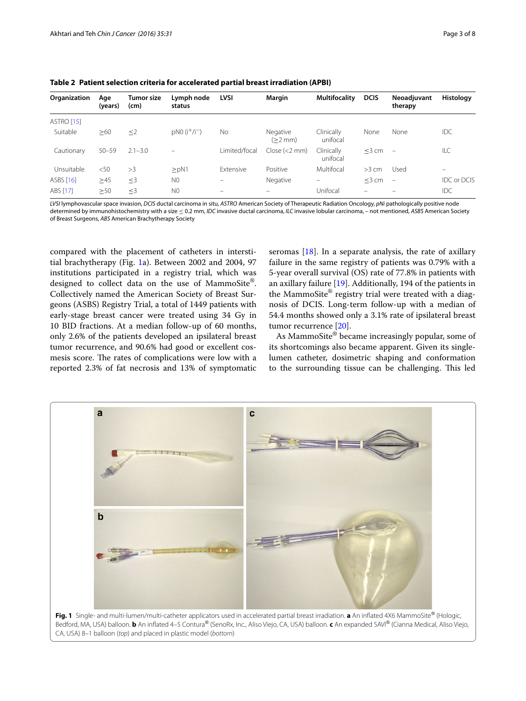| Organization | Age<br>(years) | Tumor size<br>(cm) | Lymph node<br>status    | <b>LVSI</b>      | Margin                   | <b>Multifocality</b>   | <b>DCIS</b> | Neoadjuvant<br>therapy   | Histology                |
|--------------|----------------|--------------------|-------------------------|------------------|--------------------------|------------------------|-------------|--------------------------|--------------------------|
| ASTRO [15]   |                |                    |                         |                  |                          |                        |             |                          |                          |
| Suitable     | $\geq 60$      | $\leq$ 2           | $pN0$ ( $i^{+}/i^{-}$ ) | <b>No</b>        | Negative<br>(>2 mm)      | Clinically<br>unifocal | None        | None                     | <b>IDC</b>               |
| Cautionary   | $50 - 59$      | $2.1 - 3.0$        |                         | Limited/focal    | Close (2 mm)             | Clinically<br>unifocal | $<$ 3 cm    | $\overline{\phantom{a}}$ | ILC                      |
| Unsuitable   | $<$ 50         | >3                 | $>$ pN1                 | <b>Fxtensive</b> | Positive                 | Multifocal             | $>3$ cm     | Used                     | $\overline{\phantom{0}}$ |
| ASBS [16]    | $\geq 45$      | $\leq$ 3           | N <sub>0</sub>          | -                | Negative                 | -                      | $<$ 3 cm    | $\overline{\phantom{m}}$ | <b>IDC or DCIS</b>       |
| ABS [17]     | >50            | $\leq$ 3           | N <sub>0</sub>          | -                | $\overline{\phantom{0}}$ | Unifocal               |             |                          | IDC                      |

<span id="page-2-0"></span>**Table 2 Patient selection criteria for accelerated partial breast irradiation (APBI)**

*LVSI* lymphovascular space invasion, *DCIS* ductal carcinoma in situ, *ASTRO* American Society of Therapeutic Radiation Oncology, *pNi* pathologically positive node determined by immunohistochemistry with a size ≤ 0.2 mm, *IDC* invasive ductal carcinoma, *ILC* invasive lobular carcinoma, – not mentioned, *ASBS* American Society of Breast Surgeons, *ABS* American Brachytherapy Society

compared with the placement of catheters in interstitial brachytherapy (Fig. [1a](#page-2-1)). Between 2002 and 2004, 97 institutions participated in a registry trial, which was designed to collect data on the use of MammoSite®. Collectively named the American Society of Breast Surgeons (ASBS) Registry Trial, a total of 1449 patients with early-stage breast cancer were treated using 34 Gy in 10 BID fractions. At a median follow-up of 60 months, only 2.6% of the patients developed an ipsilateral breast tumor recurrence, and 90.6% had good or excellent cosmesis score. The rates of complications were low with a reported 2.3% of fat necrosis and 13% of symptomatic

seromas  $[18]$  $[18]$ . In a separate analysis, the rate of axillary failure in the same registry of patients was 0.79% with a 5-year overall survival (OS) rate of 77.8% in patients with an axillary failure [[19\]](#page-6-16). Additionally, 194 of the patients in the MammoSite® registry trial were treated with a diagnosis of DCIS. Long-term follow-up with a median of 54.4 months showed only a 3.1% rate of ipsilateral breast tumor recurrence [[20](#page-6-17)].

As MammoSite® became increasingly popular, some of its shortcomings also became apparent. Given its singlelumen catheter, dosimetric shaping and conformation to the surrounding tissue can be challenging. This led

<span id="page-2-1"></span>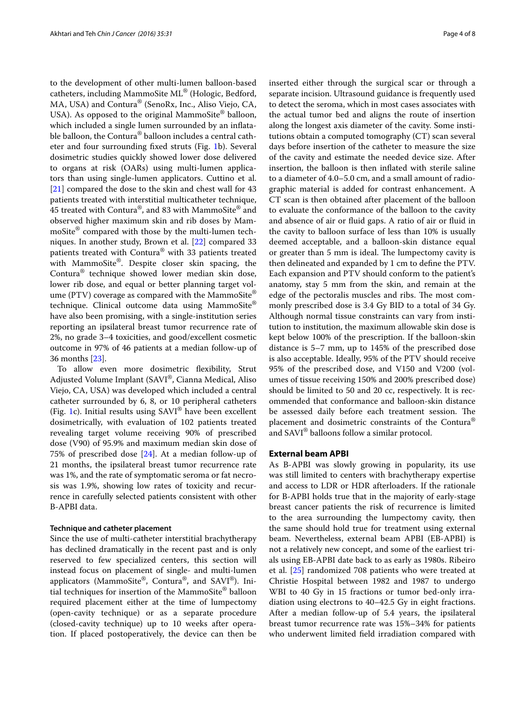to the development of other multi-lumen balloon-based catheters, including MammoSite ML® (Hologic, Bedford, MA, USA) and Contura® (SenoRx, Inc., Aliso Viejo, CA, USA). As opposed to the original MammoSite<sup>®</sup> balloon, which included a single lumen surrounded by an inflatable balloon, the Contura<sup>®</sup> balloon includes a central catheter and four surrounding fixed struts (Fig. [1b](#page-2-1)). Several dosimetric studies quickly showed lower dose delivered to organs at risk (OARs) using multi-lumen applicators than using single-lumen applicators. Cuttino et al. [[21\]](#page-6-19) compared the dose to the skin and chest wall for 43 patients treated with interstitial multicatheter technique, 45 treated with Contura®, and 83 with MammoSite® and observed higher maximum skin and rib doses by MammoSite® compared with those by the multi-lumen techniques. In another study, Brown et al. [\[22](#page-6-20)] compared 33 patients treated with Contura® with 33 patients treated with MammoSite®. Despite closer skin spacing, the Contura® technique showed lower median skin dose, lower rib dose, and equal or better planning target volume (PTV) coverage as compared with the MammoSite<sup>®</sup> technique. Clinical outcome data using MammoSite® have also been promising, with a single-institution series reporting an ipsilateral breast tumor recurrence rate of 2%, no grade 3–4 toxicities, and good/excellent cosmetic outcome in 97% of 46 patients at a median follow-up of 36 months [\[23](#page-6-21)].

To allow even more dosimetric flexibility, Strut Adjusted Volume Implant (SAVI®, Cianna Medical, Aliso Viejo, CA, USA) was developed which included a central catheter surrounded by 6, 8, or 10 peripheral catheters (Fig. [1c](#page-2-1)). Initial results using SAVI® have been excellent dosimetrically, with evaluation of 102 patients treated revealing target volume receiving 90% of prescribed dose (V90) of 95.9% and maximum median skin dose of 75% of prescribed dose [[24\]](#page-7-0). At a median follow-up of 21 months, the ipsilateral breast tumor recurrence rate was 1%, and the rate of symptomatic seroma or fat necrosis was 1.9%, showing low rates of toxicity and recurrence in carefully selected patients consistent with other B-APBI data.

#### **Technique and catheter placement**

Since the use of multi-catheter interstitial brachytherapy has declined dramatically in the recent past and is only reserved to few specialized centers, this section will instead focus on placement of single- and multi-lumen applicators (MammoSite®, Contura®, and SAVI®). Initial techniques for insertion of the MammoSite® balloon required placement either at the time of lumpectomy (open-cavity technique) or as a separate procedure (closed-cavity technique) up to 10 weeks after operation. If placed postoperatively, the device can then be inserted either through the surgical scar or through a separate incision. Ultrasound guidance is frequently used to detect the seroma, which in most cases associates with the actual tumor bed and aligns the route of insertion along the longest axis diameter of the cavity. Some institutions obtain a computed tomography (CT) scan several days before insertion of the catheter to measure the size of the cavity and estimate the needed device size. After insertion, the balloon is then inflated with sterile saline to a diameter of 4.0–5.0 cm, and a small amount of radiographic material is added for contrast enhancement. A CT scan is then obtained after placement of the balloon to evaluate the conformance of the balloon to the cavity and absence of air or fluid gaps. A ratio of air or fluid in the cavity to balloon surface of less than 10% is usually deemed acceptable, and a balloon-skin distance equal or greater than 5 mm is ideal. The lumpectomy cavity is then delineated and expanded by 1 cm to define the PTV. Each expansion and PTV should conform to the patient's anatomy, stay 5 mm from the skin, and remain at the edge of the pectoralis muscles and ribs. The most commonly prescribed dose is 3.4 Gy BID to a total of 34 Gy. Although normal tissue constraints can vary from institution to institution, the maximum allowable skin dose is kept below 100% of the prescription. If the balloon-skin distance is 5–7 mm, up to 145% of the prescribed dose is also acceptable. Ideally, 95% of the PTV should receive 95% of the prescribed dose, and V150 and V200 (volumes of tissue receiving 150% and 200% prescribed dose) should be limited to 50 and 20 cc, respectively. It is recommended that conformance and balloon-skin distance be assessed daily before each treatment session. The placement and dosimetric constraints of the Contura® and SAVI® balloons follow a similar protocol.

#### **External beam APBI**

As B-APBI was slowly growing in popularity, its use was still limited to centers with brachytherapy expertise and access to LDR or HDR afterloaders. If the rationale for B-APBI holds true that in the majority of early-stage breast cancer patients the risk of recurrence is limited to the area surrounding the lumpectomy cavity, then the same should hold true for treatment using external beam. Nevertheless, external beam APBI (EB-APBI) is not a relatively new concept, and some of the earliest trials using EB-APBI date back to as early as 1980s. Ribeiro et al. [[25\]](#page-7-1) randomized 708 patients who were treated at Christie Hospital between 1982 and 1987 to undergo WBI to 40 Gy in 15 fractions or tumor bed-only irradiation using electrons to 40–42.5 Gy in eight fractions. After a median follow-up of 5.4 years, the ipsilateral breast tumor recurrence rate was 15%–34% for patients who underwent limited field irradiation compared with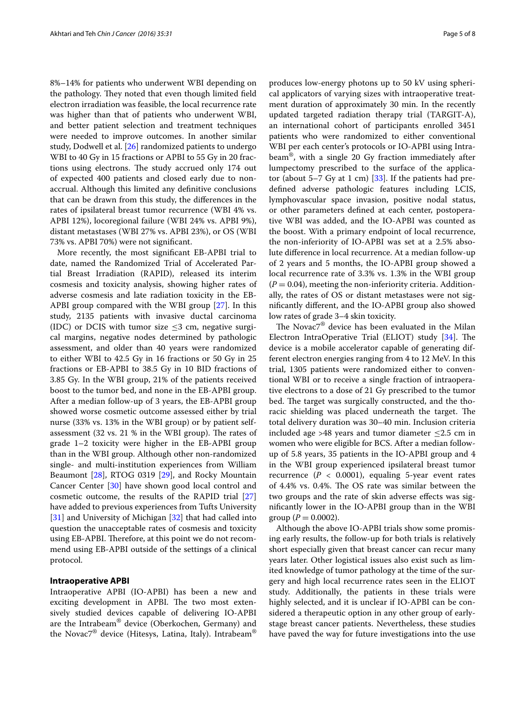8%–14% for patients who underwent WBI depending on the pathology. They noted that even though limited field electron irradiation was feasible, the local recurrence rate was higher than that of patients who underwent WBI, and better patient selection and treatment techniques were needed to improve outcomes. In another similar study, Dodwell et al. [\[26\]](#page-7-2) randomized patients to undergo WBI to 40 Gy in 15 fractions or APBI to 55 Gy in 20 fractions using electrons. The study accrued only 174 out of expected 400 patients and closed early due to nonaccrual. Although this limited any definitive conclusions that can be drawn from this study, the differences in the rates of ipsilateral breast tumor recurrence (WBI 4% vs. APBI 12%), locoregional failure (WBI 24% vs. APBI 9%), distant metastases (WBI 27% vs. APBI 23%), or OS (WBI 73% vs. APBI 70%) were not significant.

More recently, the most significant EB-APBI trial to date, named the Randomized Trial of Accelerated Partial Breast Irradiation (RAPID), released its interim cosmesis and toxicity analysis, showing higher rates of adverse cosmesis and late radiation toxicity in the EB-APBI group compared with the WBI group [[27\]](#page-7-3). In this study, 2135 patients with invasive ductal carcinoma (IDC) or DCIS with tumor size  $\leq$ 3 cm, negative surgical margins, negative nodes determined by pathologic assessment, and older than 40 years were randomized to either WBI to 42.5 Gy in 16 fractions or 50 Gy in 25 fractions or EB-APBI to 38.5 Gy in 10 BID fractions of 3.85 Gy. In the WBI group, 21% of the patients received boost to the tumor bed, and none in the EB-APBI group. After a median follow-up of 3 years, the EB-APBI group showed worse cosmetic outcome assessed either by trial nurse (33% vs. 13% in the WBI group) or by patient selfassessment (32 vs. 21 % in the WBI group). The rates of grade 1–2 toxicity were higher in the EB-APBI group than in the WBI group. Although other non-randomized single- and multi-institution experiences from William Beaumont [[28\]](#page-7-4), RTOG 0319 [[29\]](#page-7-5), and Rocky Mountain Cancer Center [[30\]](#page-7-6) have shown good local control and cosmetic outcome, the results of the RAPID trial [[27](#page-7-3)] have added to previous experiences from Tufts University [[31\]](#page-7-7) and University of Michigan [[32](#page-7-8)] that had called into question the unacceptable rates of cosmesis and toxicity using EB-APBI. Therefore, at this point we do not recommend using EB-APBI outside of the settings of a clinical protocol.

## **Intraoperative APBI**

Intraoperative APBI (IO-APBI) has been a new and exciting development in APBI. The two most extensively studied devices capable of delivering IO-APBI are the Intrabeam® device (Oberkochen, Germany) and the Novac7® device (Hitesys, Latina, Italy). Intrabeam®

produces low-energy photons up to 50 kV using spherical applicators of varying sizes with intraoperative treatment duration of approximately 30 min. In the recently updated targeted radiation therapy trial (TARGIT-A), an international cohort of participants enrolled 3451 patients who were randomized to either conventional WBI per each center's protocols or IO-APBI using Intrabeam®, with a single 20 Gy fraction immediately after lumpectomy prescribed to the surface of the applicator (about  $5-7$  Gy at 1 cm) [\[33\]](#page-7-9). If the patients had predefined adverse pathologic features including LCIS, lymphovascular space invasion, positive nodal status, or other parameters defined at each center, postoperative WBI was added, and the IO-APBI was counted as the boost. With a primary endpoint of local recurrence, the non-inferiority of IO-APBI was set at a 2.5% absolute difference in local recurrence. At a median follow-up of 2 years and 5 months, the IO-APBI group showed a local recurrence rate of 3.3% vs. 1.3% in the WBI group  $(P = 0.04)$ , meeting the non-inferiority criteria. Additionally, the rates of OS or distant metastases were not significantly different, and the IO-APBI group also showed low rates of grade 3–4 skin toxicity.

The Novac7® device has been evaluated in the Milan Electron IntraOperative Trial (ELIOT) study [\[34](#page-7-10)]. The device is a mobile accelerator capable of generating different electron energies ranging from 4 to 12 MeV. In this trial, 1305 patients were randomized either to conventional WBI or to receive a single fraction of intraoperative electrons to a dose of 21 Gy prescribed to the tumor bed. The target was surgically constructed, and the thoracic shielding was placed underneath the target. The total delivery duration was 30–40 min. Inclusion criteria included age >48 years and tumor diameter  $\leq$ 2.5 cm in women who were eligible for BCS. After a median followup of 5.8 years, 35 patients in the IO-APBI group and 4 in the WBI group experienced ipsilateral breast tumor recurrence  $(P < 0.0001)$ , equaling 5-year event rates of 4.4% vs. 0.4%. The OS rate was similar between the two groups and the rate of skin adverse effects was significantly lower in the IO-APBI group than in the WBI group  $(P = 0.0002)$ .

Although the above IO-APBI trials show some promising early results, the follow-up for both trials is relatively short especially given that breast cancer can recur many years later. Other logistical issues also exist such as limited knowledge of tumor pathology at the time of the surgery and high local recurrence rates seen in the ELIOT study. Additionally, the patients in these trials were highly selected, and it is unclear if IO-APBI can be considered a therapeutic option in any other group of earlystage breast cancer patients. Nevertheless, these studies have paved the way for future investigations into the use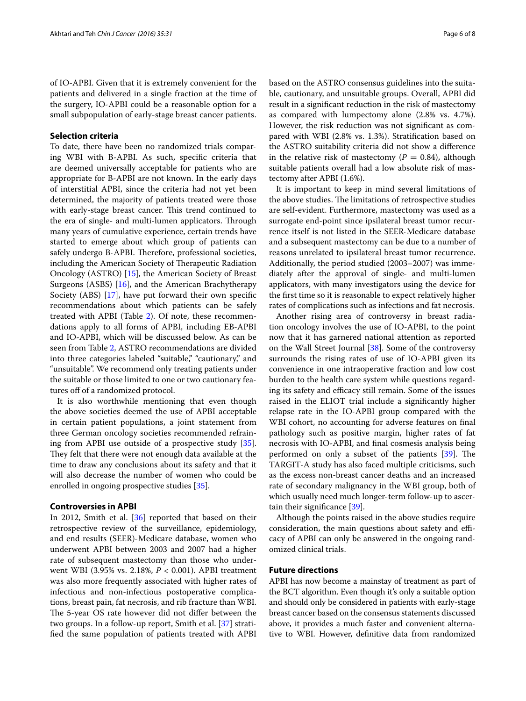of IO-APBI. Given that it is extremely convenient for the patients and delivered in a single fraction at the time of the surgery, IO-APBI could be a reasonable option for a small subpopulation of early-stage breast cancer patients.

#### **Selection criteria**

To date, there have been no randomized trials comparing WBI with B-APBI. As such, specific criteria that are deemed universally acceptable for patients who are appropriate for B-APBI are not known. In the early days of interstitial APBI, since the criteria had not yet been determined, the majority of patients treated were those with early-stage breast cancer. This trend continued to the era of single- and multi-lumen applicators. Through many years of cumulative experience, certain trends have started to emerge about which group of patients can safely undergo B-APBI. Therefore, professional societies, including the American Society of Therapeutic Radiation Oncology (ASTRO) [\[15\]](#page-6-8), the American Society of Breast Surgeons (ASBS) [[16\]](#page-6-18), and the American Brachytherapy Society (ABS) [\[17\]](#page-6-9), have put forward their own specific recommendations about which patients can be safely treated with APBI (Table [2](#page-2-0)). Of note, these recommendations apply to all forms of APBI, including EB-APBI and IO-APBI, which will be discussed below. As can be seen from Table [2](#page-2-0), ASTRO recommendations are divided into three categories labeled "suitable," "cautionary," and "unsuitable". We recommend only treating patients under the suitable or those limited to one or two cautionary features off of a randomized protocol.

It is also worthwhile mentioning that even though the above societies deemed the use of APBI acceptable in certain patient populations, a joint statement from three German oncology societies recommended refraining from APBI use outside of a prospective study [\[35](#page-7-11)]. They felt that there were not enough data available at the time to draw any conclusions about its safety and that it will also decrease the number of women who could be enrolled in ongoing prospective studies [\[35](#page-7-11)].

#### **Controversies in APBI**

In 2012, Smith et al. [\[36\]](#page-7-12) reported that based on their retrospective review of the surveillance, epidemiology, and end results (SEER)-Medicare database, women who underwent APBI between 2003 and 2007 had a higher rate of subsequent mastectomy than those who underwent WBI (3.95% vs. 2.18%, *P* < 0.001). APBI treatment was also more frequently associated with higher rates of infectious and non-infectious postoperative complications, breast pain, fat necrosis, and rib fracture than WBI. The 5-year OS rate however did not differ between the two groups. In a follow-up report, Smith et al. [\[37](#page-7-13)] stratified the same population of patients treated with APBI based on the ASTRO consensus guidelines into the suitable, cautionary, and unsuitable groups. Overall, APBI did result in a significant reduction in the risk of mastectomy as compared with lumpectomy alone (2.8% vs. 4.7%). However, the risk reduction was not significant as compared with WBI (2.8% vs. 1.3%). Stratification based on the ASTRO suitability criteria did not show a difference in the relative risk of mastectomy ( $P = 0.84$ ), although suitable patients overall had a low absolute risk of mastectomy after APBI (1.6%).

It is important to keep in mind several limitations of the above studies. The limitations of retrospective studies are self-evident. Furthermore, mastectomy was used as a surrogate end-point since ipsilateral breast tumor recurrence itself is not listed in the SEER-Medicare database and a subsequent mastectomy can be due to a number of reasons unrelated to ipsilateral breast tumor recurrence. Additionally, the period studied (2003–2007) was immediately after the approval of single- and multi-lumen applicators, with many investigators using the device for the first time so it is reasonable to expect relatively higher rates of complications such as infections and fat necrosis.

Another rising area of controversy in breast radiation oncology involves the use of IO-APBI, to the point now that it has garnered national attention as reported on the Wall Street Journal [\[38](#page-7-14)]. Some of the controversy surrounds the rising rates of use of IO-APBI given its convenience in one intraoperative fraction and low cost burden to the health care system while questions regarding its safety and efficacy still remain. Some of the issues raised in the ELIOT trial include a significantly higher relapse rate in the IO-APBI group compared with the WBI cohort, no accounting for adverse features on final pathology such as positive margin, higher rates of fat necrosis with IO-APBI, and final cosmesis analysis being performed on only a subset of the patients [\[39\]](#page-7-15). The TARGIT-A study has also faced multiple criticisms, such as the excess non-breast cancer deaths and an increased rate of secondary malignancy in the WBI group, both of which usually need much longer-term follow-up to ascertain their significance [\[39\]](#page-7-15).

Although the points raised in the above studies require consideration, the main questions about safety and efficacy of APBI can only be answered in the ongoing randomized clinical trials.

## **Future directions**

APBI has now become a mainstay of treatment as part of the BCT algorithm. Even though it's only a suitable option and should only be considered in patients with early-stage breast cancer based on the consensus statements discussed above, it provides a much faster and convenient alternative to WBI. However, definitive data from randomized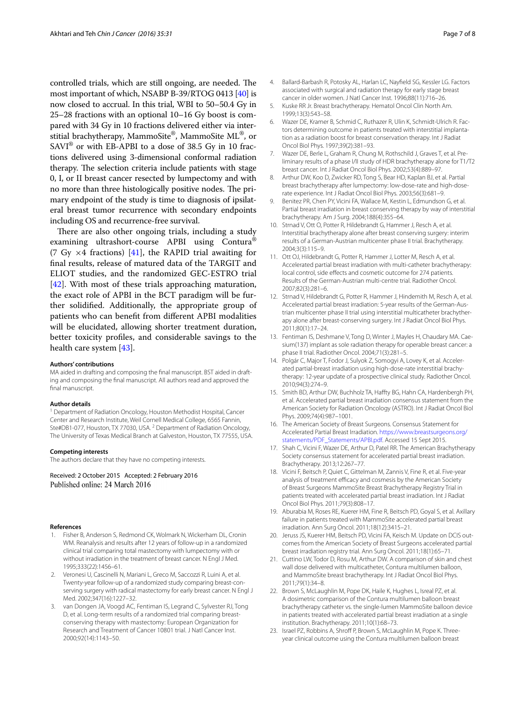controlled trials, which are still ongoing, are needed. The most important of which, NSABP B-39/RTOG 0413 [\[40\]](#page-7-16) is now closed to accrual. In this trial, WBI to 50–50.4 Gy in 25–28 fractions with an optional 10–16 Gy boost is compared with 34 Gy in 10 fractions delivered either via interstitial brachytherapy, MammoSite®, MammoSite ML®, or  $SAVI^{\circledR}$  or with EB-APBI to a dose of 38.5 Gy in 10 fractions delivered using 3-dimensional conformal radiation therapy. The selection criteria include patients with stage 0, I, or II breast cancer resected by lumpectomy and with no more than three histologically positive nodes. The primary endpoint of the study is time to diagnosis of ipsilateral breast tumor recurrence with secondary endpoints including OS and recurrence-free survival.

There are also other ongoing trials, including a study examining ultrashort-course APBI using Contura® (7 Gy  $\times$ 4 fractions) [[41](#page-7-17)], the RAPID trial awaiting for final results, release of matured data of the TARGIT and ELIOT studies, and the randomized GEC-ESTRO trial  $[42]$  $[42]$ . With most of these trials approaching maturation, the exact role of APBI in the BCT paradigm will be further solidified. Additionally, the appropriate group of patients who can benefit from different APBI modalities will be elucidated, allowing shorter treatment duration, better toxicity profiles, and considerable savings to the health care system [[43](#page-7-19)].

#### **Authors' contributions**

MA aided in drafting and composing the final manuscript. BST aided in drafting and composing the final manuscript. All authors read and approved the final manuscript.

#### **Author details**

<sup>1</sup> Department of Radiation Oncology, Houston Methodist Hospital, Cancer Center and Research Institute, Weil Cornell Medical College, 6565 Fannin, Ste#DB1-077, Houston, TX 77030, USA. <sup>2</sup> Department of Radiation Oncology, The University of Texas Medical Branch at Galveston, Houston, TX 77555, USA.

#### **Competing interests**

The authors declare that they have no competing interests.

Received: 2 October 2015 Accepted: 2 February 2016 Published online: 24 March 2016

#### **References**

- <span id="page-6-0"></span>1. Fisher B, Anderson S, Redmond CK, Wolmark N, Wickerham DL, Cronin WM. Reanalysis and results after 12 years of follow-up in a randomized clinical trial comparing total mastectomy with lumpectomy with or without irradiation in the treatment of breast cancer. N Engl J Med. 1995;333(22):1456–61.
- <span id="page-6-1"></span>2. Veronesi U, Cascinelli N, Mariani L, Greco M, Saccozzi R, Luini A, et al. Twenty-year follow-up of a randomized study comparing breast-conserving surgery with radical mastectomy for early breast cancer. N Engl J Med. 2002;347(16):1227–32.
- <span id="page-6-2"></span>van Dongen JA, Voogd AC, Fentiman IS, Legrand C, Sylvester RJ, Tong D, et al. Long-term results of a randomized trial comparing breastconserving therapy with mastectomy: European Organization for Research and Treatment of Cancer 10801 trial. J Natl Cancer Inst. 2000;92(14):1143–50.
- <span id="page-6-3"></span>4. Ballard-Barbash R, Potosky AL, Harlan LC, Nayfield SG, Kessler LG. Factors associated with surgical and radiation therapy for early stage breast cancer in older women. J Natl Cancer Inst. 1996;88(11):716–26.
- <span id="page-6-4"></span>5. Kuske RR Jr. Breast brachytherapy. Hematol Oncol Clin North Am. 1999;13(3):543–58.
- <span id="page-6-5"></span>6. Wazer DE, Kramer B, Schmid C, Ruthazer R, Ulin K, Schmidt-Ulrich R. Factors determining outcome in patients treated with interstitial implantation as a radiation boost for breast conservation therapy. Int J Radiat Oncol Biol Phys. 1997;39(2):381–93.
- <span id="page-6-6"></span>7. Wazer DE, Berle L, Graham R, Chung M, Rothschild J, Graves T, et al. Preliminary results of a phase I/II study of HDR brachytherapy alone for T1/T2 breast cancer. Int J Radiat Oncol Biol Phys. 2002;53(4):889–97.
- <span id="page-6-11"></span>8. Arthur DW, Koo D, Zwicker RD, Tong S, Bear HD, Kaplan BJ, et al. Partial breast brachytherapy after lumpectomy: low-dose-rate and high-doserate experience. Int J Radiat Oncol Biol Phys. 2003;56(3):681–9.
- <span id="page-6-12"></span>9. Benitez PR, Chen PY, Vicini FA, Wallace M, Kestin L, Edmundson G, et al. Partial breast irradiation in breast conserving therapy by way of interstitial brachytherapy. Am J Surg. 2004;188(4):355–64.
- <span id="page-6-13"></span>10. Strnad V, Ott O, Potter R, Hildebrandt G, Hammer J, Resch A, et al. Interstitial brachytherapy alone after breast conserving surgery: interim results of a German-Austrian multicenter phase II trial. Brachytherapy. 2004;3(3):115–9.
- 11. Ott OJ, Hildebrandt G, Potter R, Hammer J, Lotter M, Resch A, et al. Accelerated partial breast irradiation with multi-catheter brachytherapy: local control, side effects and cosmetic outcome for 274 patients. Results of the German-Austrian multi-centre trial. Radiother Oncol. 2007;82(3):281–6.
- <span id="page-6-14"></span>12. Strnad V, Hildebrandt G, Potter R, Hammer J, Hindemith M, Resch A, et al. Accelerated partial breast irradiation: 5-year results of the German-Austrian multicenter phase II trial using interstitial multicatheter brachytherapy alone after breast-conserving surgery. Int J Radiat Oncol Biol Phys. 2011;80(1):17–24.
- <span id="page-6-10"></span>13. Fentiman IS, Deshmane V, Tong D, Winter J, Mayles H, Chaudary MA. Caesium(137) implant as sole radiation therapy for operable breast cancer: a phase II trial. Radiother Oncol. 2004;71(3):281–5.
- <span id="page-6-7"></span>14. Polgár C, Major T, Fodor J, Sulyok Z, Somogyi A, Lovey K, et al. Accelerated partial-breast irradiation using high-dose-rate interstitial brachytherapy: 12-year update of a prospective clinical study. Radiother Oncol. 2010;94(3):274–9.
- <span id="page-6-8"></span>15. Smith BD, Arthur DW, Buchholz TA, Haffty BG, Hahn CA, Hardenbergh PH, et al. Accelerated partial breast irradiation consensus statement from the American Society for Radiation Oncology (ASTRO). Int J Radiat Oncol Biol Phys. 2009;74(4):987–1001.
- <span id="page-6-18"></span>16. The American Society of Breast Surgeons. Consensus Statement for Accelerated Partial Breast Irradiation. [https://www.breastsurgeons.org/](https://www.breastsurgeons.org/statements/PDF_Statements/APBI.pdf) [statements/PDF\\_Statements/APBI.pdf.](https://www.breastsurgeons.org/statements/PDF_Statements/APBI.pdf) Accessed 15 Sept 2015.
- <span id="page-6-9"></span>17. Shah C, Vicini F, Wazer DE, Arthur D, Patel RR. The American Brachytherapy Society consensus statement for accelerated partial breast irradiation. Brachytherapy. 2013;12:267–77.
- <span id="page-6-15"></span>18. Vicini F, Beitsch P, Quiet C, Gittelman M, Zannis V, Fine R, et al. Five-year analysis of treatment efficacy and cosmesis by the American Society of Breast Surgeons MammoSite Breast Brachytherapy Registry Trial in patients treated with accelerated partial breast irradiation. Int J Radiat Oncol Biol Phys. 2011;79(3):808–17.
- <span id="page-6-16"></span>19. Aburabia M, Roses RE, Kuerer HM, Fine R, Beitsch PD, Goyal S, et al. Axillary failure in patients treated with MammoSite accelerated partial breast irradiation. Ann Surg Oncol. 2011;18(12):3415–21.
- <span id="page-6-17"></span>20. Jeruss JS, Kuerer HM, Beitsch PD, Vicini FA, Keisch M. Update on DCIS outcomes from the American Society of Breast Surgeons accelerated partial breast irradiation registry trial. Ann Surg Oncol. 2011;18(1):65–71.
- <span id="page-6-19"></span>21. Cuttino LW, Todor D, Rosu M, Arthur DW. A comparison of skin and chest wall dose delivered with multicatheter, Contura multilumen balloon, and MammoSite breast brachytherapy. Int J Radiat Oncol Biol Phys. 2011;79(1):34–8.
- <span id="page-6-20"></span>22. Brown S, McLaughlin M, Pope DK, Haile K, Hughes L, Isreal PZ, et al. A dosimetric comparison of the Contura multilumen balloon breast brachytherapy catheter vs. the single-lumen MammoSite balloon device in patients treated with accelerated partial breast irradiation at a single institution. Brachytherapy. 2011;10(1):68–73.
- <span id="page-6-21"></span>23. Israel PZ, Robbins A, Shroff P, Brown S, McLaughlin M, Pope K. Threeyear clinical outcome using the Contura multilumen balloon breast